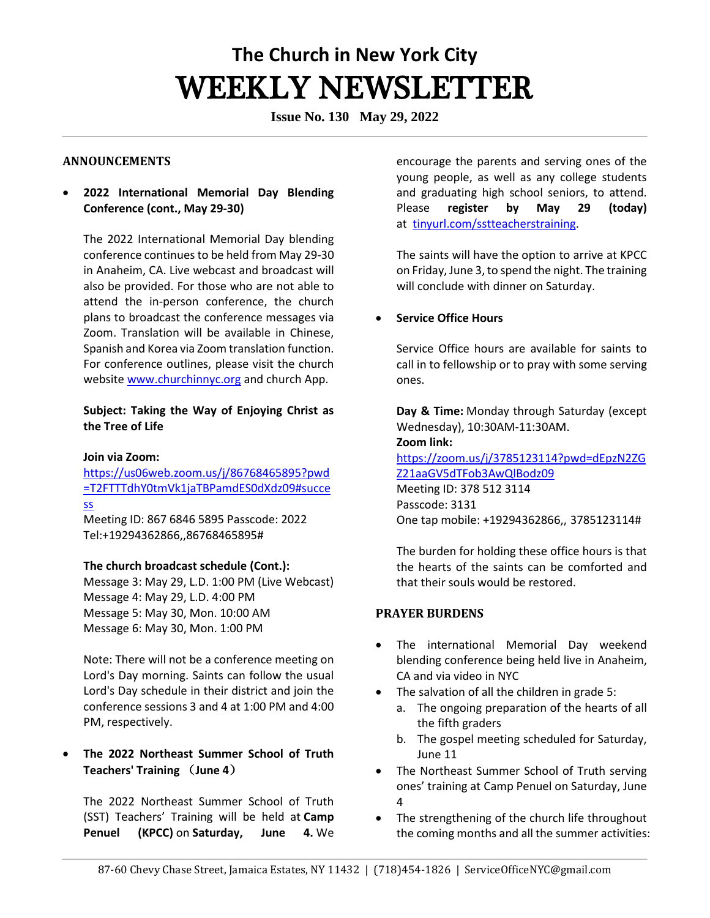# **The Church in New York City** WEEKLY NEWSLETTER

**Issue No. 130 May 29, 2022**

#### **ANNOUNCEMENTS**

• **2022 International Memorial Day Blending Conference (cont., May 29-30)**

The 2022 International Memorial Day blending conference continues to be held from May 29-30 in Anaheim, CA. Live webcast and broadcast will also be provided. For those who are not able to attend the in-person conference, the church plans to broadcast the conference messages via Zoom. Translation will be available in Chinese, Spanish and Korea via Zoom translation function. For conference outlines, please visit the church websit[e www.churchinnyc.org](http://www.churchinnyc.org/) and church App.

## **Subject: Taking the Way of Enjoying Christ as the Tree of Life**

#### **Join via Zoom:**

[https://us06web.zoom.us/j/86768465895?pwd](https://us06web.zoom.us/j/86768465895?pwd=T2FTTTdhY0tmVk1jaTBPamdES0dXdz09%23success) [=T2FTTTdhY0tmVk1jaTBPamdES0dXdz09#succe](https://us06web.zoom.us/j/86768465895?pwd=T2FTTTdhY0tmVk1jaTBPamdES0dXdz09%23success) [ss](https://us06web.zoom.us/j/86768465895?pwd=T2FTTTdhY0tmVk1jaTBPamdES0dXdz09%23success) Meeting ID: 867 6846 5895 Passcode: 2022

Tel:+19294362866,,86768465895#

#### **The church broadcast schedule (Cont.):**

Message 3: May 29, L.D. 1:00 PM (Live Webcast) Message 4: May 29, L.D. 4:00 PM Message 5: May 30, Mon. 10:00 AM Message 6: May 30, Mon. 1:00 PM

Note: There will not be a conference meeting on Lord's Day morning. Saints can follow the usual Lord's Day schedule in their district and join the conference sessions 3 and 4 at 1:00 PM and 4:00 PM, respectively.

• **The 2022 Northeast Summer School of Truth Teachers' Training** (**June 4**)

The 2022 Northeast Summer School of Truth (SST) Teachers' Training will be held at **Camp Penuel (KPCC)** on **Saturday, June 4.** We

encourage the parents and serving ones of the young people, as well as any college students and graduating high school seniors, to attend. Please **register by May 29 (today)** at [tinyurl.com/sstteacherstraining.](http://tinyurl.com/sstteacherstraining)

The saints will have the option to arrive at KPCC on Friday, June 3, to spend the night. The training will conclude with dinner on Saturday.

#### • **Service Office Hours**

Service Office hours are available for saints to call in to fellowship or to pray with some serving ones. 

**Day & Time:** Monday through Saturday (except Wednesday), 10:30AM-11:30AM.   **Zoom link:** [https://zoom.us/j/3785123114?pwd=dEpzN2ZG](https://zoom.us/j/3785123114?pwd=dEpzN2ZGZ21aaGV5dTFob3AwQlBodz09) [Z21aaGV5dTFob3AwQlBodz09](https://zoom.us/j/3785123114?pwd=dEpzN2ZGZ21aaGV5dTFob3AwQlBodz09) Meeting ID: 378 512 3114 Passcode: 3131 One tap mobile: +19294362866,, 3785123114#

The burden for holding these office hours is that the hearts of the saints can be comforted and that their souls would be restored. 

#### **PRAYER BURDENS**

- The international Memorial Day weekend blending conference being held live in Anaheim, CA and via video in NYC
- The salvation of all the children in grade 5:
	- a. The ongoing preparation of the hearts of all the fifth graders
	- b. The gospel meeting scheduled for Saturday, June 11
- The Northeast Summer School of Truth serving ones' training at Camp Penuel on Saturday, June 4
- The strengthening of the church life throughout the coming months and all the summer activities: